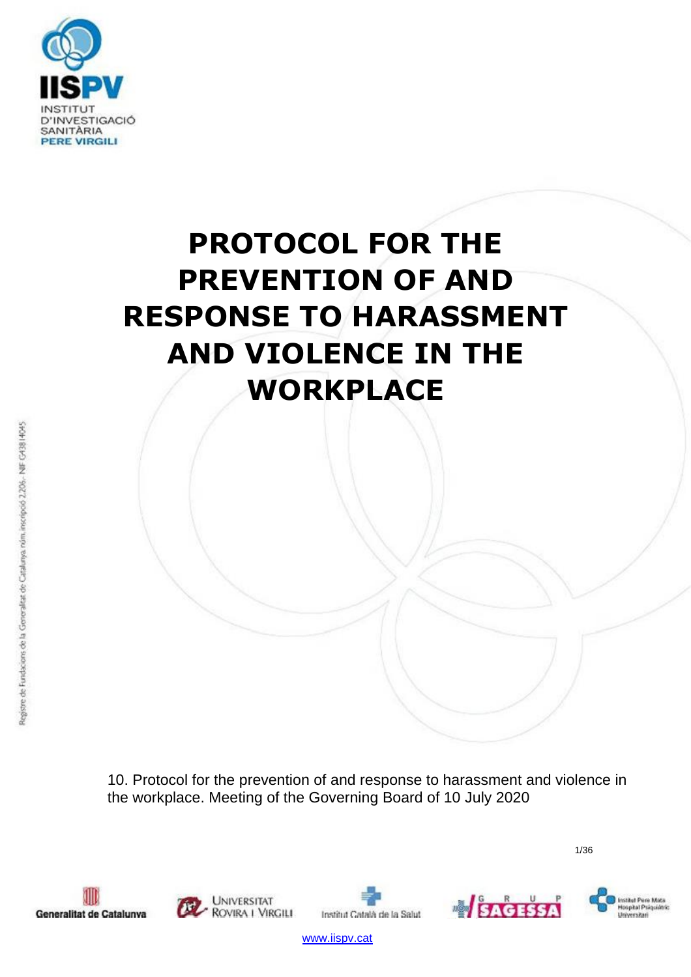

# **PROTOCOL FOR THE PREVENTION OF AND RESPONSE TO HARASSMENT AND VIOLENCE IN THE WORKPLACE**

10. Protocol for the prevention of and response to harassment and violence in the workplace. Meeting of the Governing Board of 10 July 2020

QIID Generalitat de Catalunva









1/36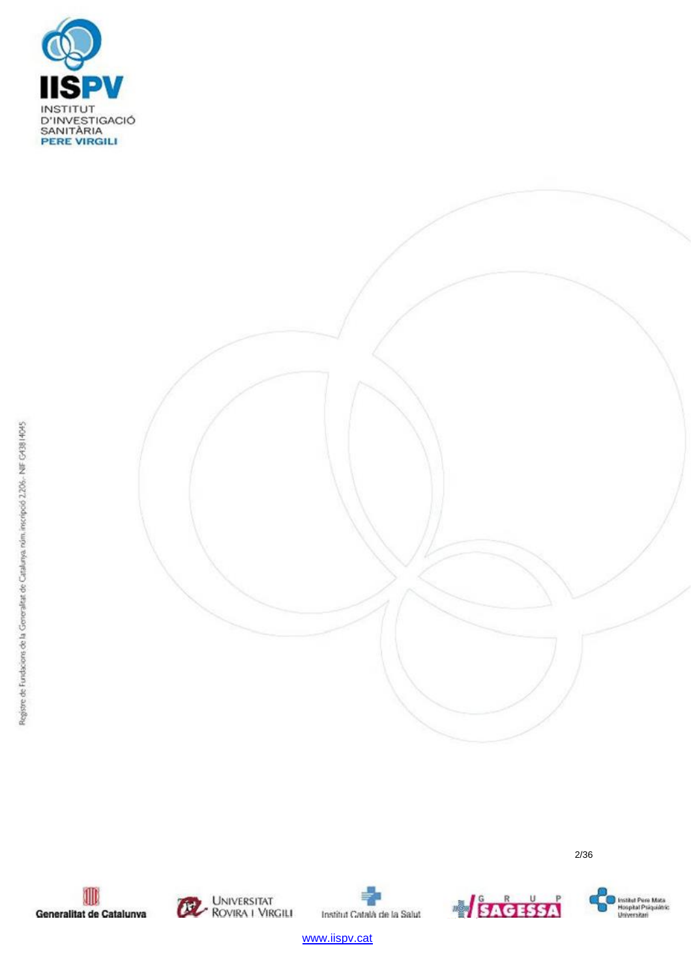





₩ Generalitat de Catalunya





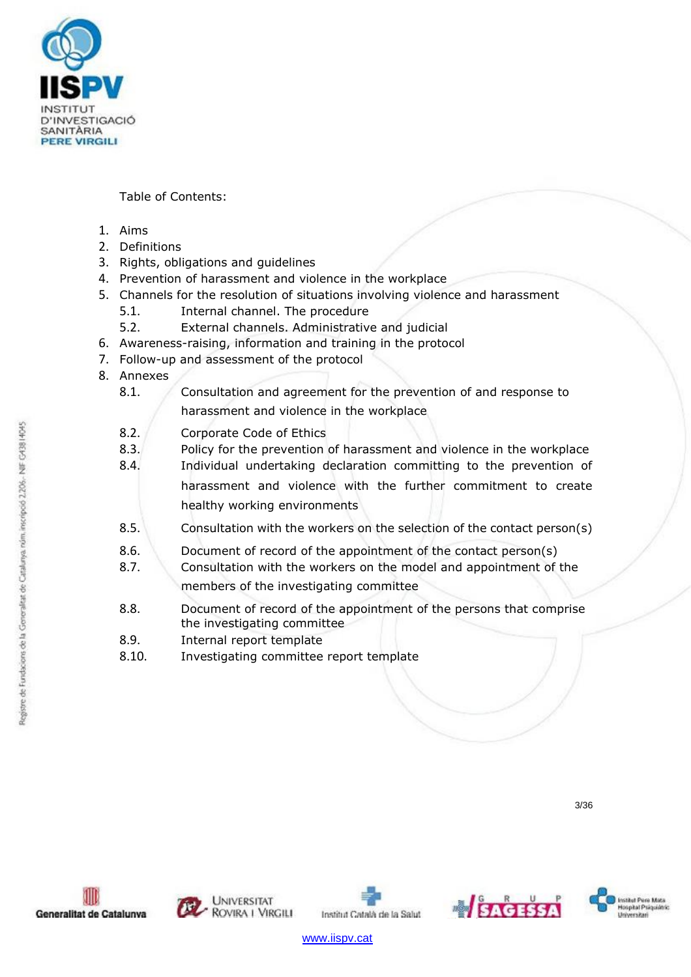

Table of Contents:

- 1. Aims
- 2. Definitions
- 3. Rights, obligations and guidelines
- 4. Prevention of harassment and violence in the workplace
- 5. Channels for the resolution of situations involving violence and harassment
	- 5.1. Internal channel. The procedure
	- 5.2. External channels. Administrative and judicial
- 6. Awareness-raising, information and training in the protocol
- 7. Follow-up and assessment of the protocol
- 8. Annexes
	- 8.1. Consultation and agreement for the prevention of and response to harassment and violence in the workplace
	- 8.2. Corporate Code of Ethics
	- 8.3. Policy for the prevention of harassment and violence in the workplace
	- 8.4. Individual undertaking declaration committing to the prevention of
		- harassment and violence with the further commitment to create healthy working environments
	- 8.5. Consultation with the workers on the selection of the contact person(s)
	- 8.6. Document of record of the appointment of the contact person(s)
	- 8.7. Consultation with the workers on the model and appointment of the members of the investigating committee
	- 8.8. Document of record of the appointment of the persons that comprise the investigating committee
	- 8.9. Internal report template
	- 8.10. Investigating committee report template

3/36







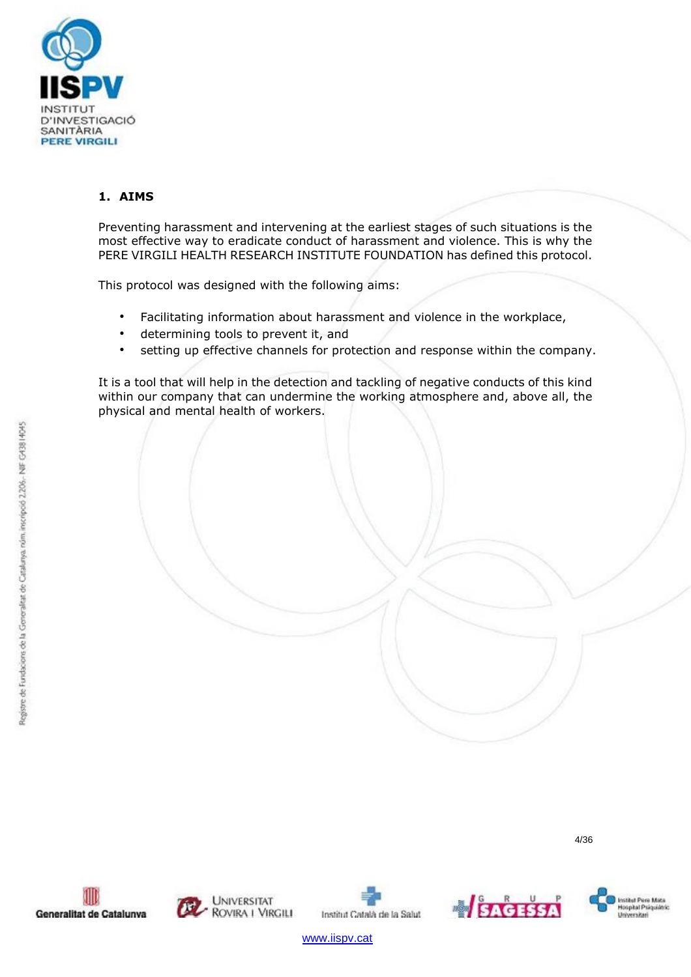

# **1. AIMS**

Preventing harassment and intervening at the earliest stages of such situations is the most effective way to eradicate conduct of harassment and violence. This is why the PERE VIRGILI HEALTH RESEARCH INSTITUTE FOUNDATION has defined this protocol.

This protocol was designed with the following aims:

- Facilitating information about harassment and violence in the workplace,
- determining tools to prevent it, and
- setting up effective channels for protection and response within the company.

It is a tool that will help in the detection and tackling of negative conducts of this kind within our company that can undermine the working atmosphere and, above all, the physical and mental health of workers.

4/36







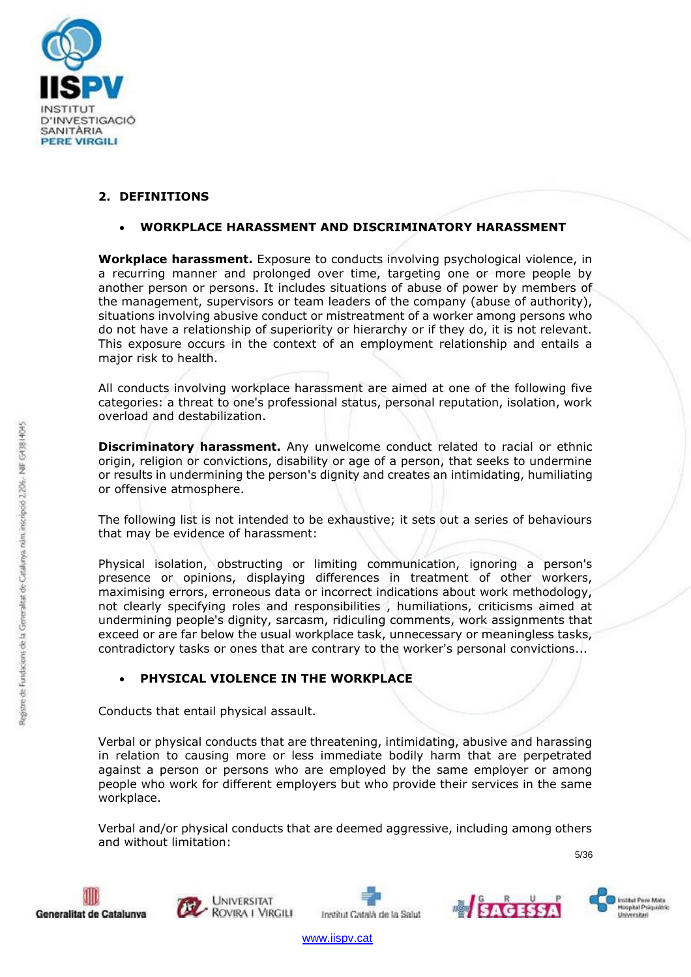

# **2. DEFINITIONS**

#### • **WORKPLACE HARASSMENT AND DISCRIMINATORY HARASSMENT**

**Workplace harassment.** Exposure to conducts involving psychological violence, in a recurring manner and prolonged over time, targeting one or more people by another person or persons. It includes situations of abuse of power by members of the management, supervisors or team leaders of the company (abuse of authority), situations involving abusive conduct or mistreatment of a worker among persons who do not have a relationship of superiority or hierarchy or if they do, it is not relevant. This exposure occurs in the context of an employment relationship and entails a major risk to health.

All conducts involving workplace harassment are aimed at one of the following five categories: a threat to one's professional status, personal reputation, isolation, work overload and destabilization.

**Discriminatory harassment.** Any unwelcome conduct related to racial or ethnic origin, religion or convictions, disability or age of a person, that seeks to undermine or results in undermining the person's dignity and creates an intimidating, humiliating or offensive atmosphere.

The following list is not intended to be exhaustive; it sets out a series of behaviours that may be evidence of harassment:

Physical isolation, obstructing or limiting communication, ignoring a person's presence or opinions, displaying differences in treatment of other workers, maximising errors, erroneous data or incorrect indications about work methodology, not clearly specifying roles and responsibilities , humiliations, criticisms aimed at undermining people's dignity, sarcasm, ridiculing comments, work assignments that exceed or are far below the usual workplace task, unnecessary or meaningless tasks, contradictory tasks or ones that are contrary to the worker's personal convictions...

## • **PHYSICAL VIOLENCE IN THE WORKPLACE**

Conducts that entail physical assault.

Verbal or physical conducts that are threatening, intimidating, abusive and harassing in relation to causing more or less immediate bodily harm that are perpetrated against a person or persons who are employed by the same employer or among people who work for different employers but who provide their services in the same workplace.

Verbal and/or physical conducts that are deemed aggressive, including among others and without limitation:

5/36







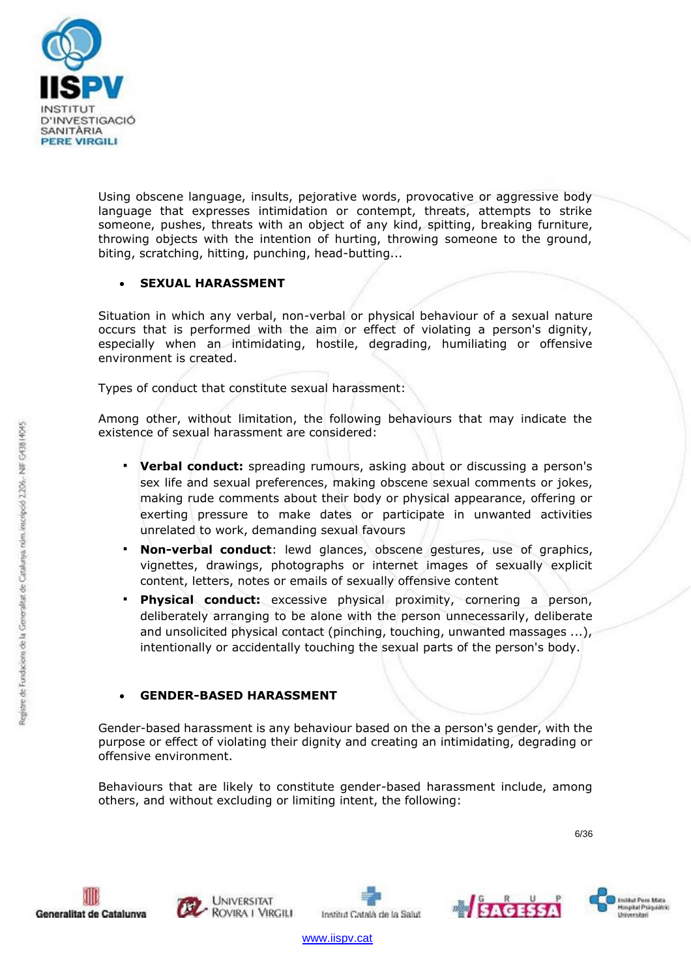

Using obscene language, insults, pejorative words, provocative or aggressive body language that expresses intimidation or contempt, threats, attempts to strike someone, pushes, threats with an object of any kind, spitting, breaking furniture, throwing objects with the intention of hurting, throwing someone to the ground, biting, scratching, hitting, punching, head-butting...

# • **SEXUAL HARASSMENT**

Situation in which any verbal, non-verbal or physical behaviour of a sexual nature occurs that is performed with the aim or effect of violating a person's dignity, especially when an intimidating, hostile, degrading, humiliating or offensive environment is created.

Types of conduct that constitute sexual harassment:

Among other, without limitation, the following behaviours that may indicate the existence of sexual harassment are considered:

- **Verbal conduct:** spreading rumours, asking about or discussing a person's sex life and sexual preferences, making obscene sexual comments or jokes, making rude comments about their body or physical appearance, offering or exerting pressure to make dates or participate in unwanted activities unrelated to work, demanding sexual favours
- **Non-verbal conduct**: lewd glances, obscene gestures, use of graphics, vignettes, drawings, photographs or internet images of sexually explicit content, letters, notes or emails of sexually offensive content
- **Physical conduct:** excessive physical proximity, cornering a person, deliberately arranging to be alone with the person unnecessarily, deliberate and unsolicited physical contact (pinching, touching, unwanted massages ...), intentionally or accidentally touching the sexual parts of the person's body.

# • **GENDER-BASED HARASSMENT**

Gender-based harassment is any behaviour based on the a person's gender, with the purpose or effect of violating their dignity and creating an intimidating, degrading or offensive environment.

Behaviours that are likely to constitute gender-based harassment include, among others, and without excluding or limiting intent, the following:

6/36









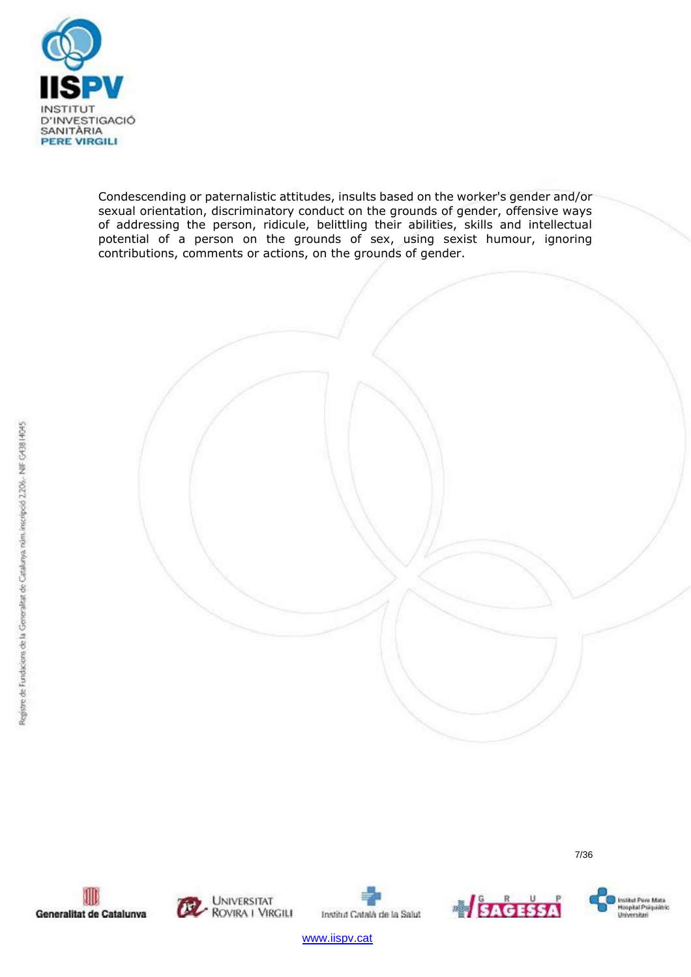

Condescending or paternalistic attitudes, insults based on the worker's gender and/or sexual orientation, discriminatory conduct on the grounds of gender, offensive ways of addressing the person, ridicule, belittling their abilities, skills and intellectual potential of a person on the grounds of sex, using sexist humour, ignoring contributions, comments or actions, on the grounds of gender.



7/36

SAGISSA



[www.iispv.cat](http://www.iispv.cat/)

Institut Català de la Salut

**UNIVERSITAT** 

ROVIRA I VIRGILI

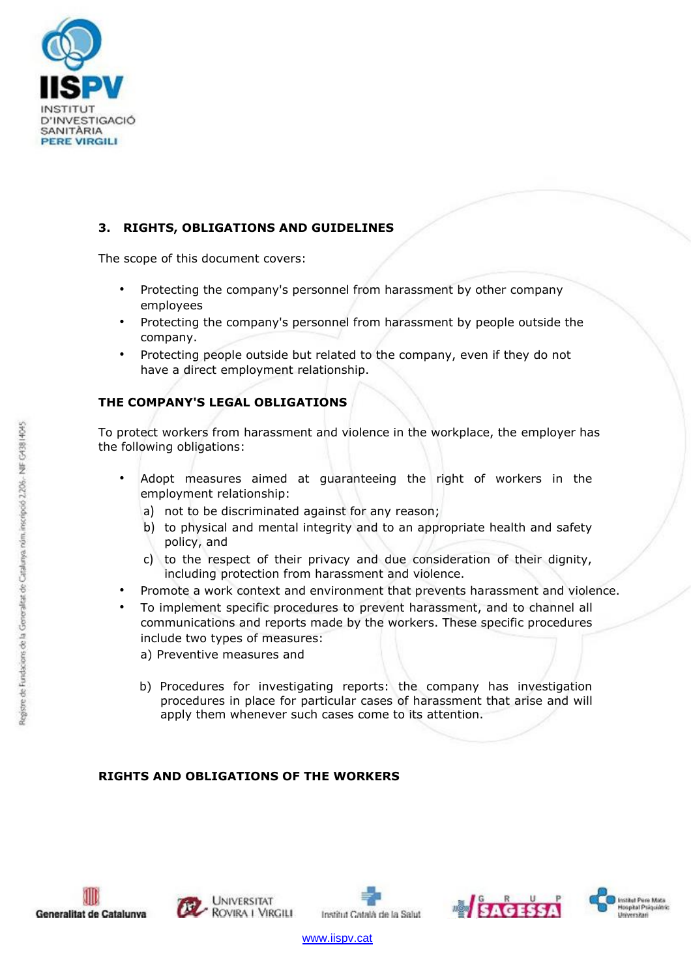

# **3. RIGHTS, OBLIGATIONS AND GUIDELINES**

The scope of this document covers:

- Protecting the company's personnel from harassment by other company employees
- Protecting the company's personnel from harassment by people outside the company.
- Protecting people outside but related to the company, even if they do not have a direct employment relationship.

# **THE COMPANY'S LEGAL OBLIGATIONS**

To protect workers from harassment and violence in the workplace, the employer has the following obligations:

- Adopt measures aimed at guaranteeing the right of workers in the employment relationship:
	- a) not to be discriminated against for any reason;
	- b) to physical and mental integrity and to an appropriate health and safety policy, and
	- c) to the respect of their privacy and due consideration of their dignity, including protection from harassment and violence.
- Promote a work context and environment that prevents harassment and violence.
- To implement specific procedures to prevent harassment, and to channel all communications and reports made by the workers. These specific procedures include two types of measures:
	- a) Preventive measures and
	- b) Procedures for investigating reports: the company has investigation procedures in place for particular cases of harassment that arise and will apply them whenever such cases come to its attention.

## **RIGHTS AND OBLIGATIONS OF THE WORKERS**







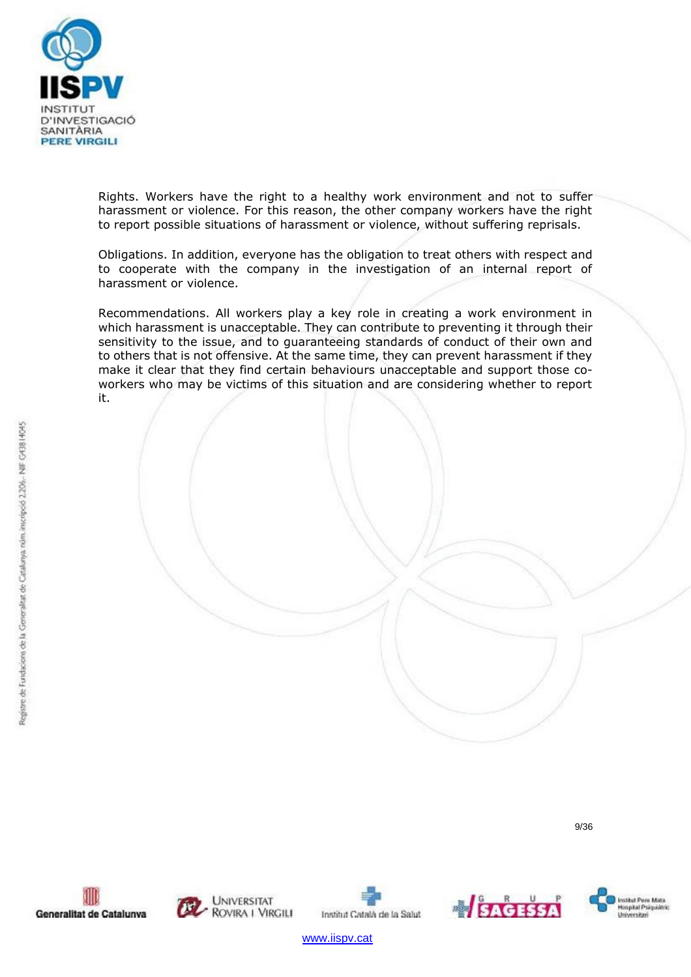

Rights. Workers have the right to a healthy work environment and not to suffer harassment or violence. For this reason, the other company workers have the right to report possible situations of harassment or violence, without suffering reprisals.

Obligations. In addition, everyone has the obligation to treat others with respect and to cooperate with the company in the investigation of an internal report of harassment or violence.

Recommendations. All workers play a key role in creating a work environment in which harassment is unacceptable. They can contribute to preventing it through their sensitivity to the issue, and to guaranteeing standards of conduct of their own and to others that is not offensive. At the same time, they can prevent harassment if they make it clear that they find certain behaviours unacceptable and support those coworkers who may be victims of this situation and are considering whether to report it.

9/36







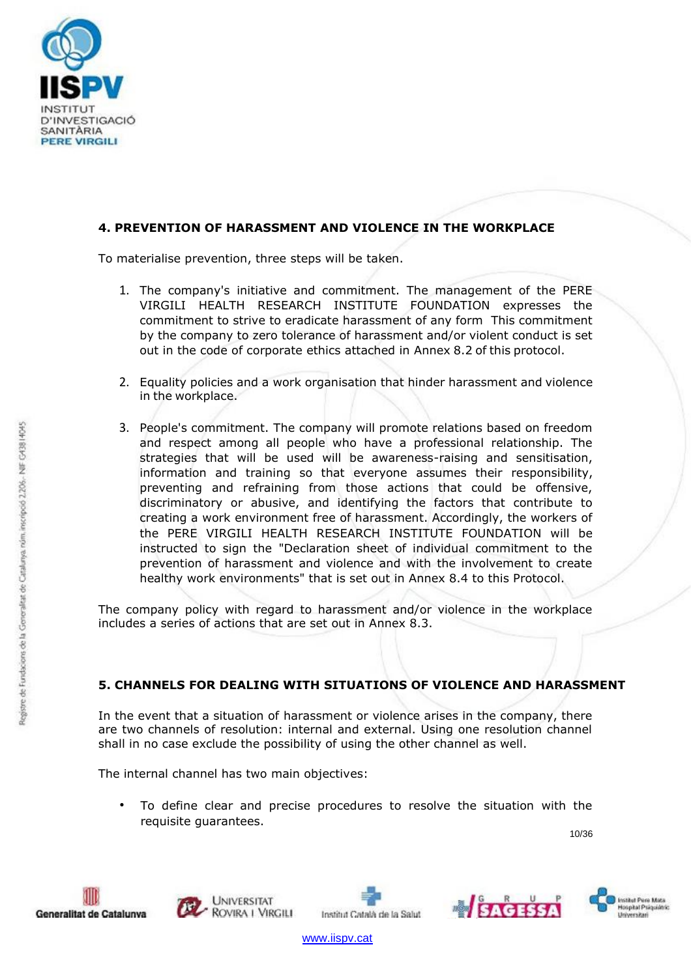

## **4. PREVENTION OF HARASSMENT AND VIOLENCE IN THE WORKPLACE**

To materialise prevention, three steps will be taken.

- 1. The company's initiative and commitment. The management of the PERE VIRGILI HEALTH RESEARCH INSTITUTE FOUNDATION expresses the commitment to strive to eradicate harassment of any form This commitment by the company to zero tolerance of harassment and/or violent conduct is set out in the code of corporate ethics attached in Annex 8.2 of this protocol.
- 2. Equality policies and a work organisation that hinder harassment and violence in the workplace.
- 3. People's commitment. The company will promote relations based on freedom and respect among all people who have a professional relationship. The strategies that will be used will be awareness-raising and sensitisation, information and training so that everyone assumes their responsibility, preventing and refraining from those actions that could be offensive, discriminatory or abusive, and identifying the factors that contribute to creating a work environment free of harassment. Accordingly, the workers of the PERE VIRGILI HEALTH RESEARCH INSTITUTE FOUNDATION will be instructed to sign the "Declaration sheet of individual commitment to the prevention of harassment and violence and with the involvement to create healthy work environments" that is set out in Annex 8.4 to this Protocol.

The company policy with regard to harassment and/or violence in the workplace includes a series of actions that are set out in Annex 8.3.

# **5. CHANNELS FOR DEALING WITH SITUATIONS OF VIOLENCE AND HARASSMENT**

In the event that a situation of harassment or violence arises in the company, there are two channels of resolution: internal and external. Using one resolution channel shall in no case exclude the possibility of using the other channel as well.

The internal channel has two main objectives:

To define clear and precise procedures to resolve the situation with the requisite guarantees.

10/36



**UNIVERSITAT ROVIRA I VIRGILI** 





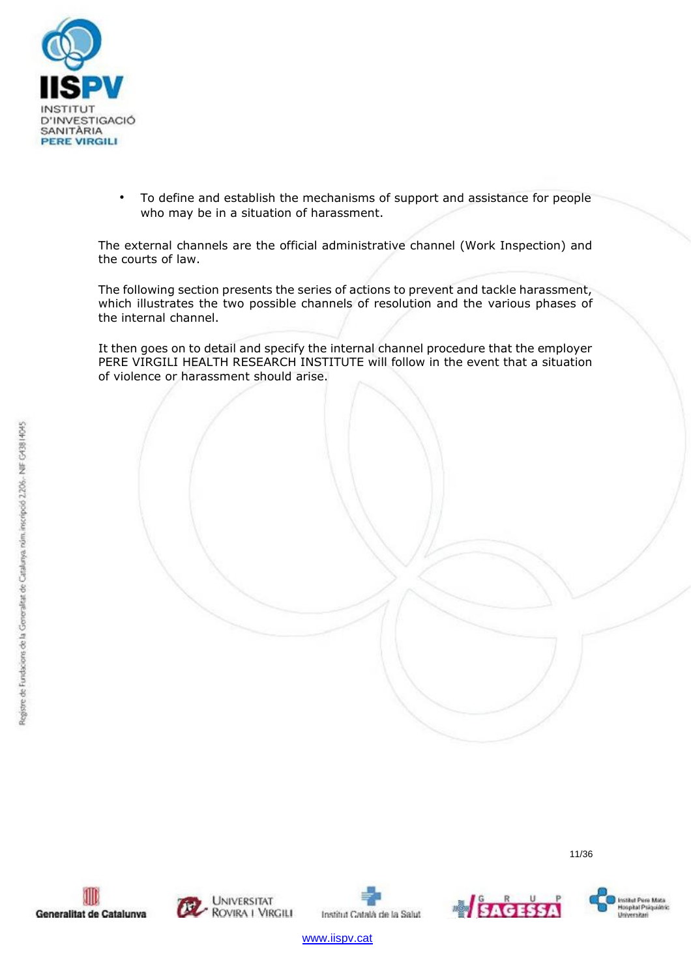

• To define and establish the mechanisms of support and assistance for people who may be in a situation of harassment.

The external channels are the official administrative channel (Work Inspection) and the courts of law.

The following section presents the series of actions to prevent and tackle harassment, which illustrates the two possible channels of resolution and the various phases of the internal channel.

It then goes on to detail and specify the internal channel procedure that the employer PERE VIRGILI HEALTH RESEARCH INSTITUTE will follow in the event that a situation of violence or harassment should arise.

11/36

**N** BAGESSA



[www.iispv.cat](http://www.iispv.cat/)

Institut Català de la Salut

UNIVERSITAT

ROVIRA | VIRGILI

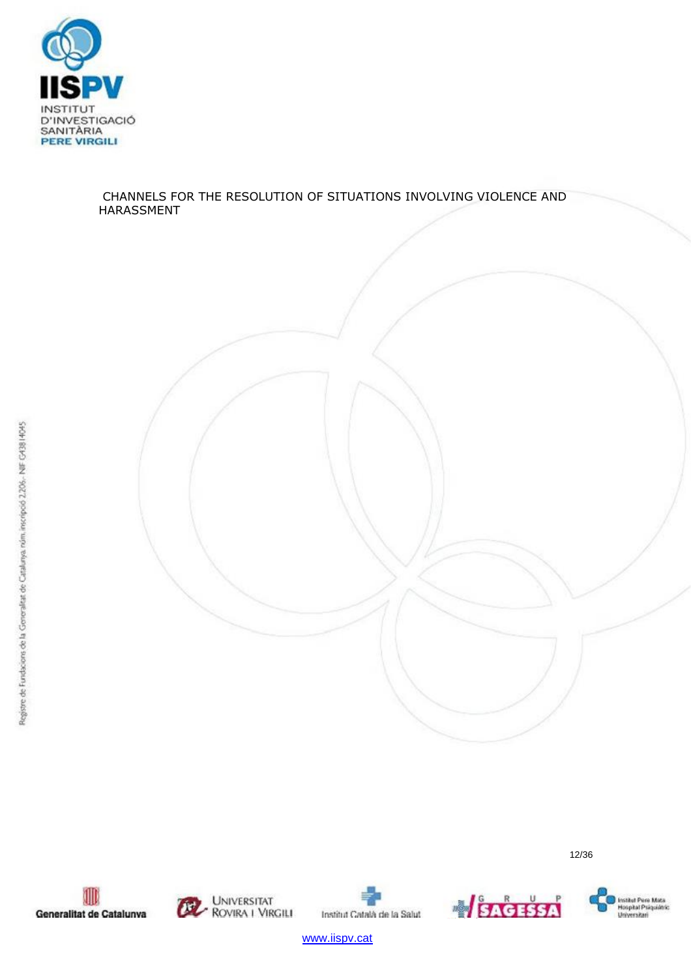

#### CHANNELS FOR THE RESOLUTION OF SITUATIONS INVOLVING VIOLENCE AND HARASSMENT



12/36

**SAGESSA** 



[www.iispv.cat](http://www.iispv.cat/)

Institut Català de la Salut

UNIVERSITAT

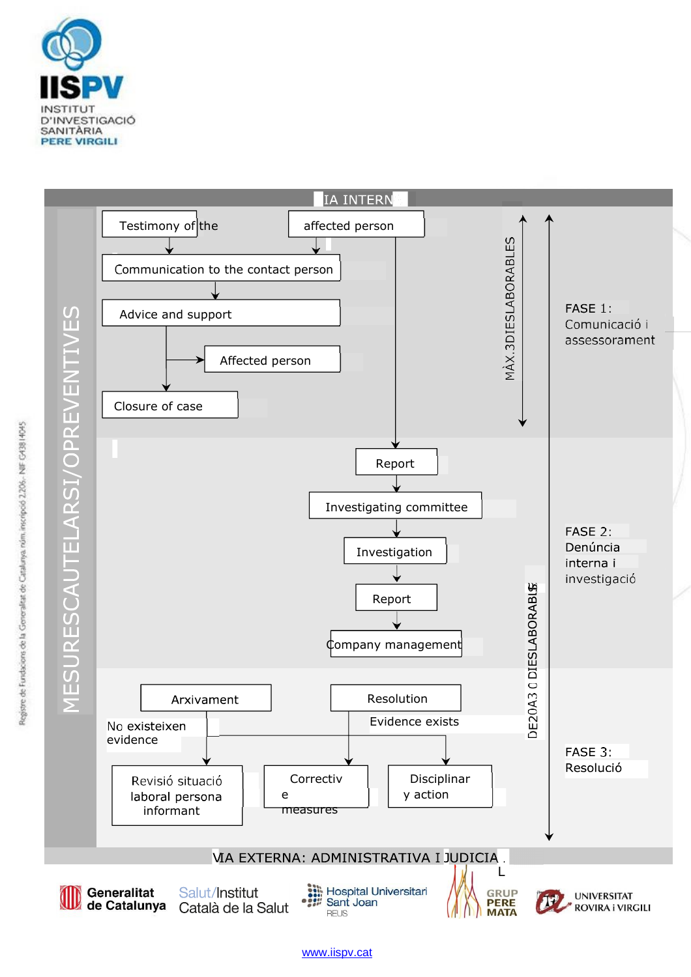

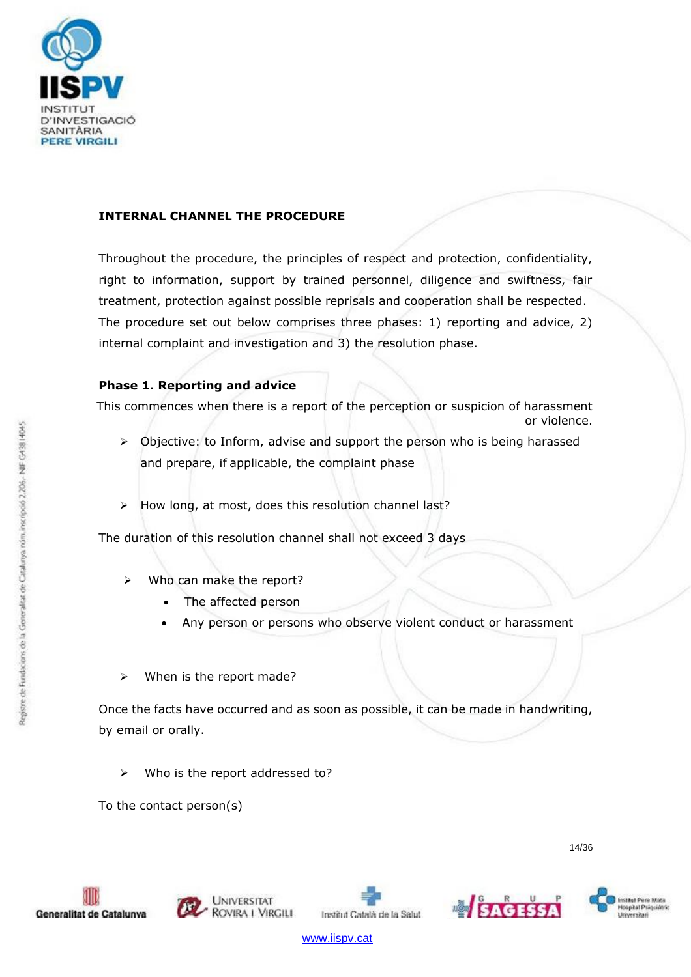

## **INTERNAL CHANNEL THE PROCEDURE**

Throughout the procedure, the principles of respect and protection, confidentiality, right to information, support by trained personnel, diligence and swiftness, fair treatment, protection against possible reprisals and cooperation shall be respected. The procedure set out below comprises three phases: 1) reporting and advice, 2) internal complaint and investigation and 3) the resolution phase.

## **Phase 1. Reporting and advice**

This commences when there is a report of the perception or suspicion of harassment or violence.

- $\triangleright$  Objective: to Inform, advise and support the person who is being harassed and prepare, if applicable, the complaint phase
- ➢ How long, at most, does this resolution channel last?

The duration of this resolution channel shall not exceed 3 days

- ➢ Who can make the report?
	- The affected person
	- Any person or persons who observe violent conduct or harassment
- $\triangleright$  When is the report made?

Once the facts have occurred and as soon as possible, it can be made in handwriting, by email or orally.

➢ Who is the report addressed to?

To the contact person(s)

14/36







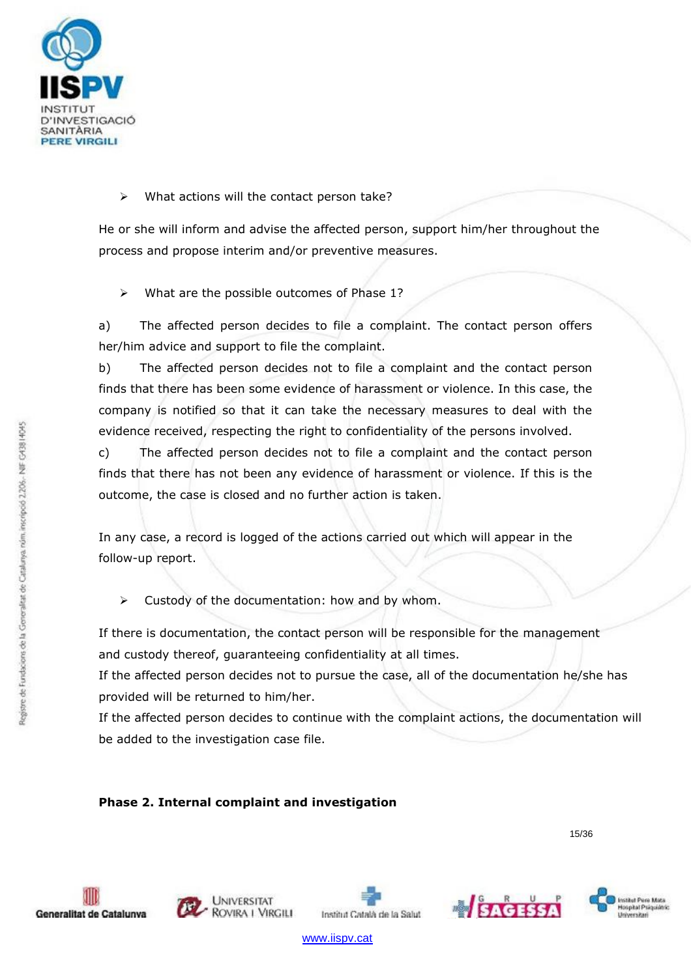

# ➢ What actions will the contact person take?

He or she will inform and advise the affected person, support him/her throughout the process and propose interim and/or preventive measures.

➢ What are the possible outcomes of Phase 1?

a) The affected person decides to file a complaint. The contact person offers her/him advice and support to file the complaint.

b) The affected person decides not to file a complaint and the contact person finds that there has been some evidence of harassment or violence. In this case, the company is notified so that it can take the necessary measures to deal with the evidence received, respecting the right to confidentiality of the persons involved.

c) The affected person decides not to file a complaint and the contact person finds that there has not been any evidence of harassment or violence. If this is the outcome, the case is closed and no further action is taken.

In any case, a record is logged of the actions carried out which will appear in the follow-up report.

 $\triangleright$  Custody of the documentation: how and by whom.

If there is documentation, the contact person will be responsible for the management and custody thereof, guaranteeing confidentiality at all times.

If the affected person decides not to pursue the case, all of the documentation he/she has provided will be returned to him/her.

If the affected person decides to continue with the complaint actions, the documentation will be added to the investigation case file.

# **Phase 2. Internal complaint and investigation**

15/36









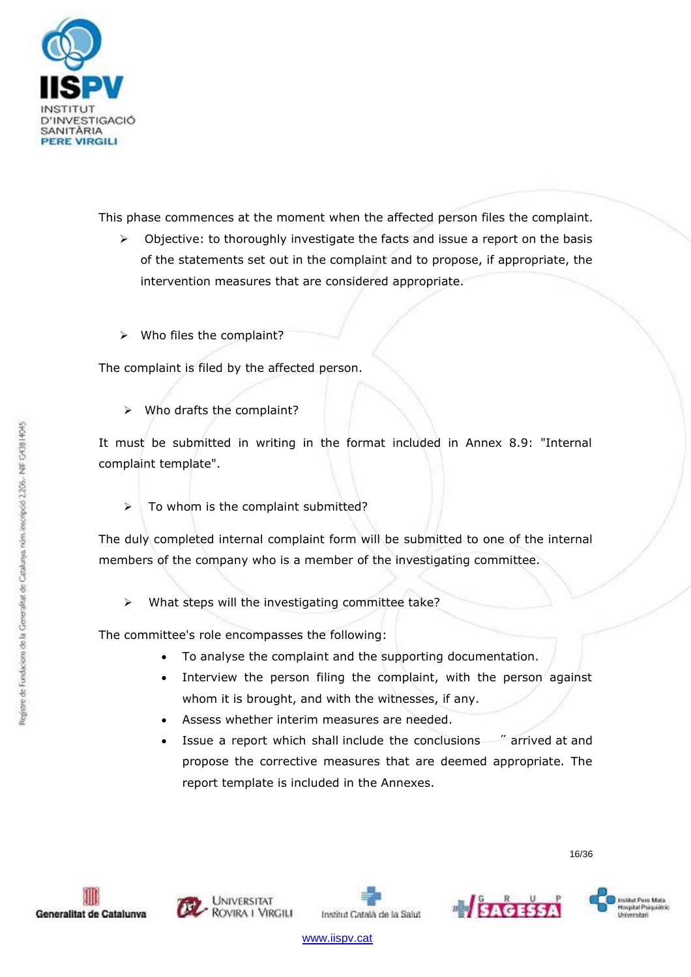

This phase commences at the moment when the affected person files the complaint.

- ➢ Objective: to thoroughly investigate the facts and issue a report on the basis of the statements set out in the complaint and to propose, if appropriate, the intervention measures that are considered appropriate.
- ➢ Who files the complaint?

The complaint is filed by the affected person.

➢ Who drafts the complaint?

It must be submitted in writing in the format included in Annex 8.9: "Internal complaint template".

➢ To whom is the complaint submitted?

The duly completed internal complaint form will be submitted to one of the internal members of the company who is a member of the investigating committee.

What steps will the investigating committee take?

The committee's role encompasses the following:

- To analyse the complaint and the supporting documentation.
- Interview the person filing the complaint, with the person against whom it is brought, and with the witnesses, if any.
- Assess whether interim measures are needed.
- Issue a report which shall include the conclusions *<sup>″</sup>* arrived at and propose the corrective measures that are deemed appropriate. The report template is included in the Annexes.











16/36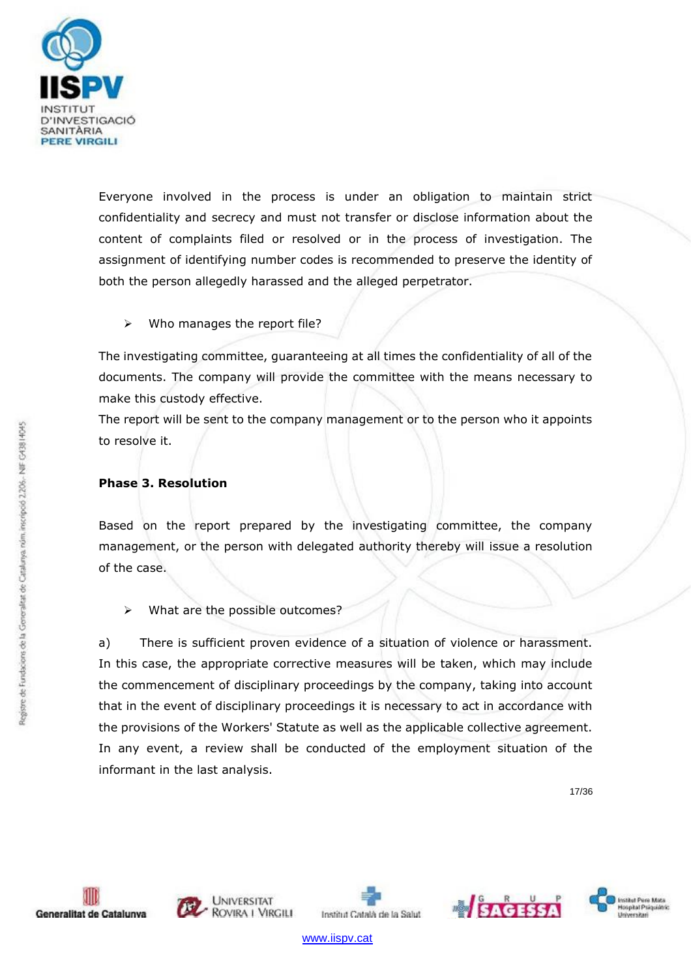

Everyone involved in the process is under an obligation to maintain strict confidentiality and secrecy and must not transfer or disclose information about the content of complaints filed or resolved or in the process of investigation. The assignment of identifying number codes is recommended to preserve the identity of both the person allegedly harassed and the alleged perpetrator.

➢ Who manages the report file?

The investigating committee, guaranteeing at all times the confidentiality of all of the documents. The company will provide the committee with the means necessary to make this custody effective.

The report will be sent to the company management or to the person who it appoints to resolve it.

# **Phase 3. Resolution**

Based on the report prepared by the investigating committee, the company management, or the person with delegated authority thereby will issue a resolution of the case.

➢ What are the possible outcomes?

a) There is sufficient proven evidence of a situation of violence or harassment. In this case, the appropriate corrective measures will be taken, which may include the commencement of disciplinary proceedings by the company, taking into account that in the event of disciplinary proceedings it is necessary to act in accordance with the provisions of the Workers' Statute as well as the applicable collective agreement. In any event, a review shall be conducted of the employment situation of the informant in the last analysis.

17/36









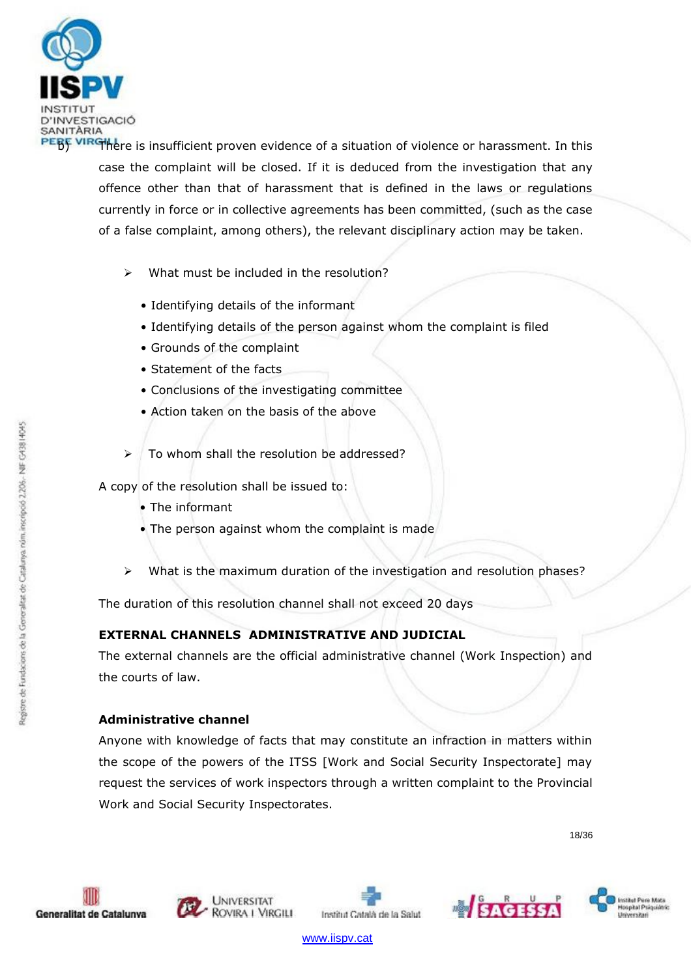

**EBF VIR There is insufficient proven evidence of a situation of violence or harassment. In this** case the complaint will be closed. If it is deduced from the investigation that any offence other than that of harassment that is defined in the laws or regulations currently in force or in collective agreements has been committed, (such as the case of a false complaint, among others), the relevant disciplinary action may be taken.

- ➢ What must be included in the resolution?
	- Identifying details of the informant
	- Identifying details of the person against whom the complaint is filed
	- Grounds of the complaint
	- Statement of the facts
	- Conclusions of the investigating committee
	- Action taken on the basis of the above
- ➢ To whom shall the resolution be addressed?
- A copy of the resolution shall be issued to:
	- The informant
	- The person against whom the complaint is made
	- ➢ What is the maximum duration of the investigation and resolution phases?

The duration of this resolution channel shall not exceed 20 days

# **EXTERNAL CHANNELS ADMINISTRATIVE AND JUDICIAL**

The external channels are the official administrative channel (Work Inspection) and the courts of law.

# **Administrative channel**

Anyone with knowledge of facts that may constitute an infraction in matters within the scope of the powers of the ITSS [Work and Social Security Inspectorate] may request the services of work inspectors through a written complaint to the Provincial Work and Social Security Inspectorates.

18/36









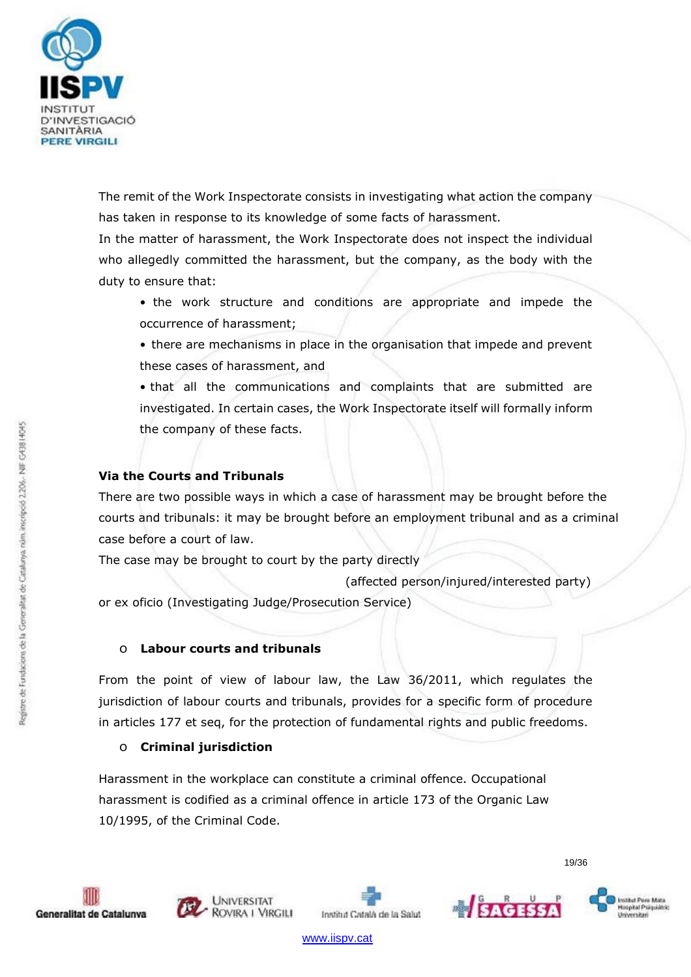

The remit of the Work Inspectorate consists in investigating what action the company has taken in response to its knowledge of some facts of harassment.

In the matter of harassment, the Work Inspectorate does not inspect the individual who allegedly committed the harassment, but the company, as the body with the duty to ensure that:

• the work structure and conditions are appropriate and impede the occurrence of harassment;

• there are mechanisms in place in the organisation that impede and prevent these cases of harassment, and

• that all the communications and complaints that are submitted are investigated. In certain cases, the Work Inspectorate itself will formally inform the company of these facts.

# **Via the Courts and Tribunals**

There are two possible ways in which a case of harassment may be brought before the courts and tribunals: it may be brought before an employment tribunal and as a criminal case before a court of law.

The case may be brought to court by the party directly

(affected person/injured/interested party)

or ex oficio (Investigating Judge/Prosecution Service)

## o **Labour courts and tribunals**

From the point of view of labour law, the Law 36/2011, which regulates the jurisdiction of labour courts and tribunals, provides for a specific form of procedure in articles 177 et seq, for the protection of fundamental rights and public freedoms.

# o **Criminal jurisdiction**

Harassment in the workplace can constitute a criminal offence. Occupational harassment is codified as a criminal offence in article 173 of the Organic Law 10/1995, of the Criminal Code.



Generalitat de Catalunva





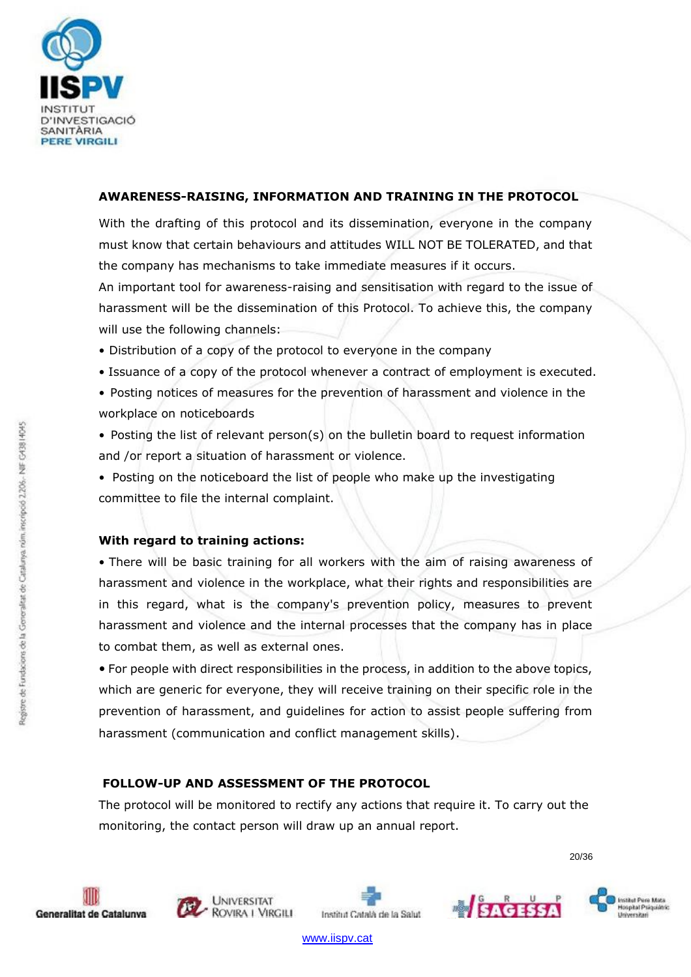

# **AWARENESS-RAISING, INFORMATION AND TRAINING IN THE PROTOCOL**

With the drafting of this protocol and its dissemination, everyone in the company must know that certain behaviours and attitudes WILL NOT BE TOLERATED, and that the company has mechanisms to take immediate measures if it occurs.

An important tool for awareness-raising and sensitisation with regard to the issue of harassment will be the dissemination of this Protocol. To achieve this, the company will use the following channels:

- Distribution of a copy of the protocol to everyone in the company
- Issuance of a copy of the protocol whenever a contract of employment is executed.
- Posting notices of measures for the prevention of harassment and violence in the workplace on noticeboards
- Posting the list of relevant person(s) on the bulletin board to request information and /or report a situation of harassment or violence.
- Posting on the noticeboard the list of people who make up the investigating committee to file the internal complaint.

## **With regard to training actions:**

• There will be basic training for all workers with the aim of raising awareness of harassment and violence in the workplace, what their rights and responsibilities are in this regard, what is the company's prevention policy, measures to prevent harassment and violence and the internal processes that the company has in place to combat them, as well as external ones.

• For people with direct responsibilities in the process, in addition to the above topics, which are generic for everyone, they will receive training on their specific role in the prevention of harassment, and guidelines for action to assist people suffering from harassment (communication and conflict management skills).

## **FOLLOW-UP AND ASSESSMENT OF THE PROTOCOL**

The protocol will be monitored to rectify any actions that require it. To carry out the monitoring, the contact person will draw up an annual report.

20/36









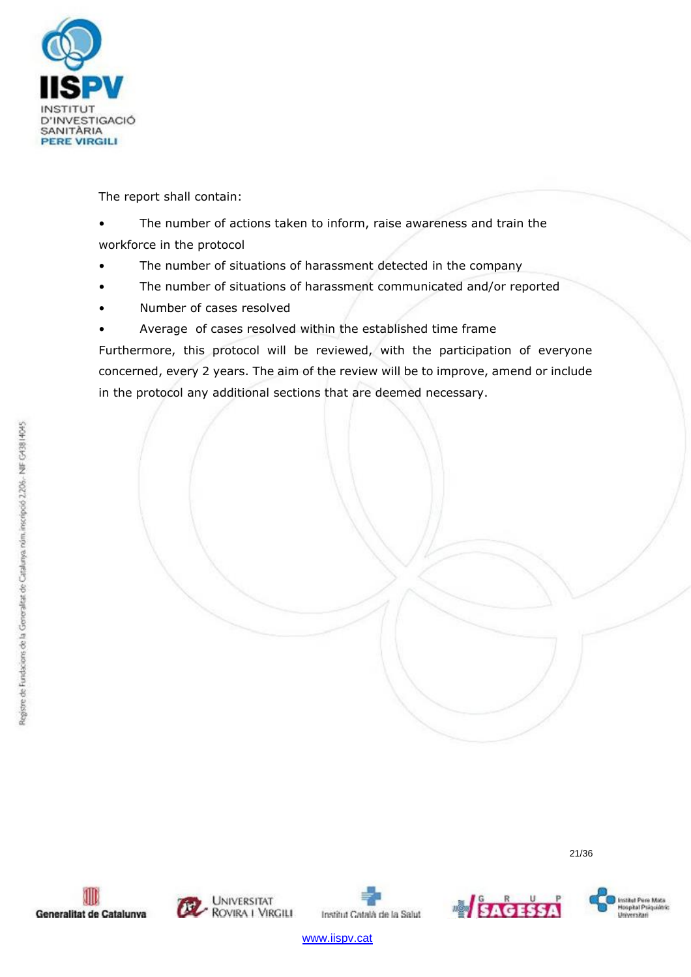

The report shall contain:

- The number of actions taken to inform, raise awareness and train the workforce in the protocol
- The number of situations of harassment detected in the company
- The number of situations of harassment communicated and/or reported
- Number of cases resolved
- Average of cases resolved within the established time frame

Furthermore, this protocol will be reviewed, with the participation of everyone concerned, every 2 years. The aim of the review will be to improve, amend or include in the protocol any additional sections that are deemed necessary.

21/36

**SAGESS** 



[www.iispv.cat](http://www.iispv.cat/)

Institut Català de la Salut

**UNIVERSITAT** 

ROVIRA I VIRGILI

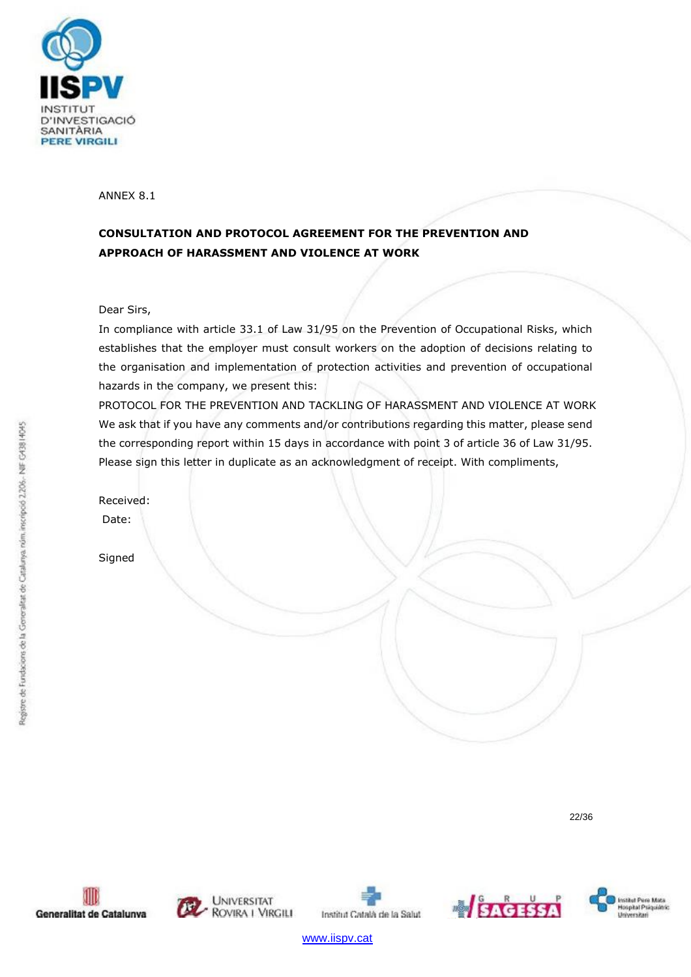

# **CONSULTATION AND PROTOCOL AGREEMENT FOR THE PREVENTION AND APPROACH OF HARASSMENT AND VIOLENCE AT WORK**

#### Dear Sirs,

In compliance with article 33.1 of Law 31/95 on the Prevention of Occupational Risks, which establishes that the employer must consult workers on the adoption of decisions relating to the organisation and implementation of protection activities and prevention of occupational hazards in the company, we present this:

PROTOCOL FOR THE PREVENTION AND TACKLING OF HARASSMENT AND VIOLENCE AT WORK We ask that if you have any comments and/or contributions regarding this matter, please send the corresponding report within 15 days in accordance with point 3 of article 36 of Law 31/95. Please sign this letter in duplicate as an acknowledgment of receipt. With compliments,

Received:

Date:

Signed

22/36







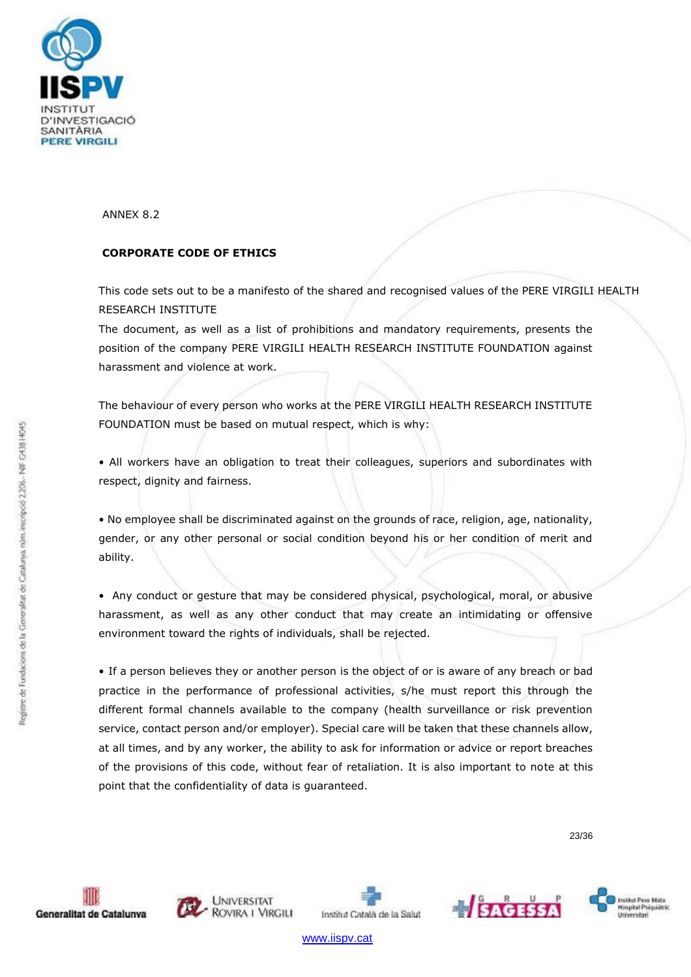

#### **CORPORATE CODE OF ETHICS**

This code sets out to be a manifesto of the shared and recognised values of the PERE VIRGILI HEALTH RESEARCH INSTITUTE

The document, as well as a list of prohibitions and mandatory requirements, presents the position of the company PERE VIRGILI HEALTH RESEARCH INSTITUTE FOUNDATION against harassment and violence at work.

The behaviour of every person who works at the PERE VIRGILI HEALTH RESEARCH INSTITUTE FOUNDATION must be based on mutual respect, which is why:

• All workers have an obligation to treat their colleagues, superiors and subordinates with respect, dignity and fairness.

• No employee shall be discriminated against on the grounds of race, religion, age, nationality, gender, or any other personal or social condition beyond his or her condition of merit and ability.

• Any conduct or gesture that may be considered physical, psychological, moral, or abusive harassment, as well as any other conduct that may create an intimidating or offensive environment toward the rights of individuals, shall be rejected.

• If a person believes they or another person is the object of or is aware of any breach or bad practice in the performance of professional activities, s/he must report this through the different formal channels available to the company (health surveillance or risk prevention service, contact person and/or employer). Special care will be taken that these channels allow, at all times, and by any worker, the ability to ask for information or advice or report breaches of the provisions of this code, without fear of retaliation. It is also important to note at this point that the confidentiality of data is guaranteed.

23/36









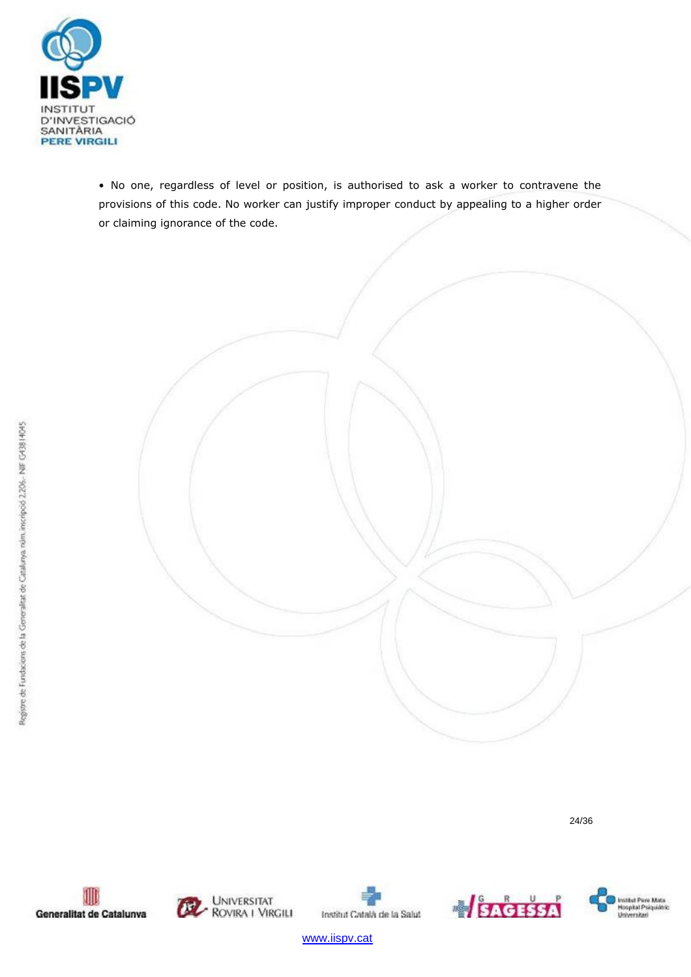

• No one, regardless of level or position, is authorised to ask a worker to contravene the provisions of this code. No worker can justify improper conduct by appealing to a higher order or claiming ignorance of the code.



24/36









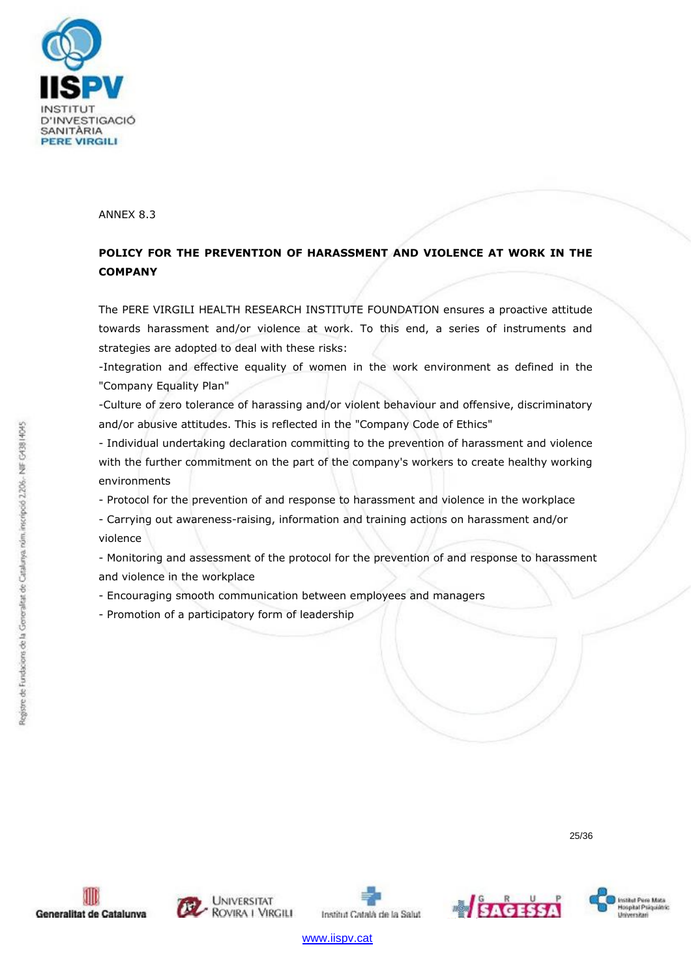

# **POLICY FOR THE PREVENTION OF HARASSMENT AND VIOLENCE AT WORK IN THE COMPANY**

The PERE VIRGILI HEALTH RESEARCH INSTITUTE FOUNDATION ensures a proactive attitude towards harassment and/or violence at work. To this end, a series of instruments and strategies are adopted to deal with these risks:

-Integration and effective equality of women in the work environment as defined in the "Company Equality Plan"

-Culture of zero tolerance of harassing and/or violent behaviour and offensive, discriminatory and/or abusive attitudes. This is reflected in the "Company Code of Ethics"

- Individual undertaking declaration committing to the prevention of harassment and violence with the further commitment on the part of the company's workers to create healthy working environments

- Protocol for the prevention of and response to harassment and violence in the workplace

- Carrying out awareness-raising, information and training actions on harassment and/or violence

- Monitoring and assessment of the protocol for the prevention of and response to harassment and violence in the workplace

- Encouraging smooth communication between employees and managers
- Promotion of a participatory form of leadership

25/36







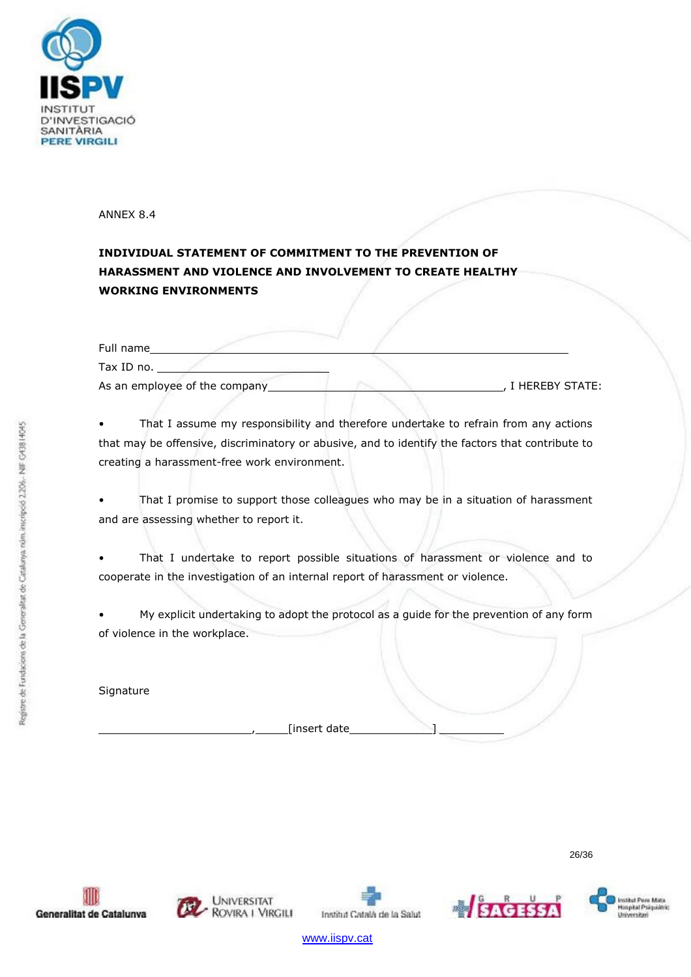

# **INDIVIDUAL STATEMENT OF COMMITMENT TO THE PREVENTION OF HARASSMENT AND VIOLENCE AND INVOLVEMENT TO CREATE HEALTHY WORKING ENVIRONMENTS**

| Full name                     |                   |
|-------------------------------|-------------------|
| Tax ID no.                    |                   |
| As an employee of the company | . I HEREBY STATE: |

That I assume my responsibility and therefore undertake to refrain from any actions that may be offensive, discriminatory or abusive, and to identify the factors that contribute to creating a harassment-free work environment.

That I promise to support those colleagues who may be in a situation of harassment and are assessing whether to report it.

That I undertake to report possible situations of harassment or violence and to cooperate in the investigation of an internal report of harassment or violence.

• My explicit undertaking to adopt the protocol as a guide for the prevention of any form of violence in the workplace.

**Signature** 

[insert date\_

26/36



Generalitat de Catalunya

**UNIVERSITAT** ROVIRA I VIRGILI



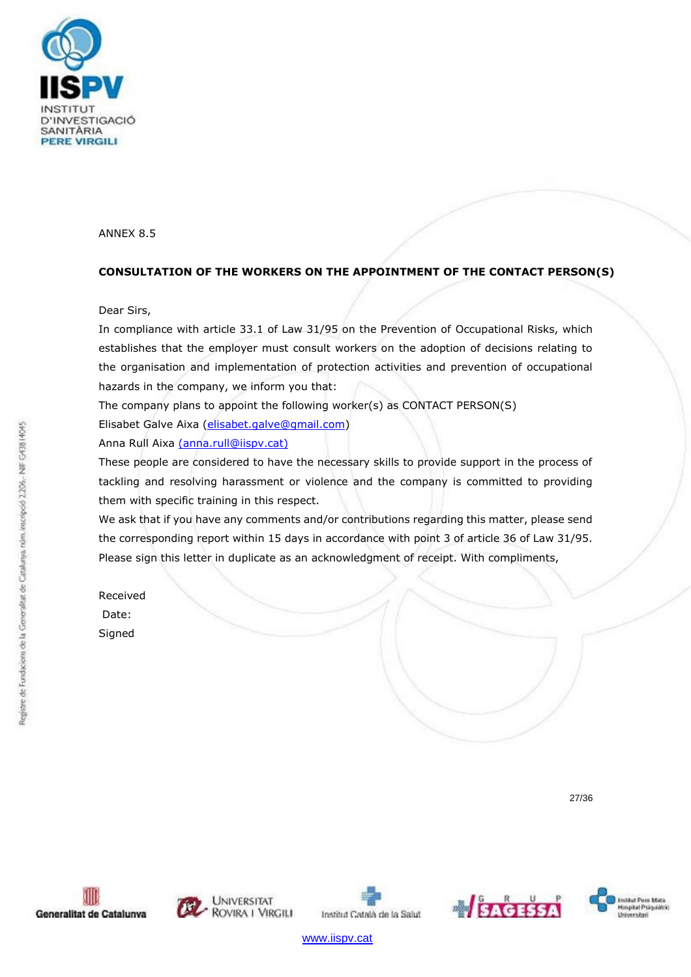

## **CONSULTATION OF THE WORKERS ON THE APPOINTMENT OF THE CONTACT PERSON(S)**

#### Dear Sirs,

In compliance with article 33.1 of Law 31/95 on the Prevention of Occupational Risks, which establishes that the employer must consult workers on the adoption of decisions relating to the organisation and implementation of protection activities and prevention of occupational hazards in the company, we inform you that:

The company plans to appoint the following worker(s) as CONTACT PERSON(S)

Elisabet Galve Aixa (elisabet.galve@gmail.com)

Anna Rull Aixa (anna.rull@iispv.cat)

These people are considered to have the necessary skills to provide support in the process of tackling and resolving harassment or violence and the company is committed to providing them with specific training in this respect.

We ask that if you have any comments and/or contributions regarding this matter, please send the corresponding report within 15 days in accordance with point 3 of article 36 of Law 31/95. Please sign this letter in duplicate as an acknowledgment of receipt. With compliments,

Received Date: **Signed** 

27/36

Generalitat de Catalunva







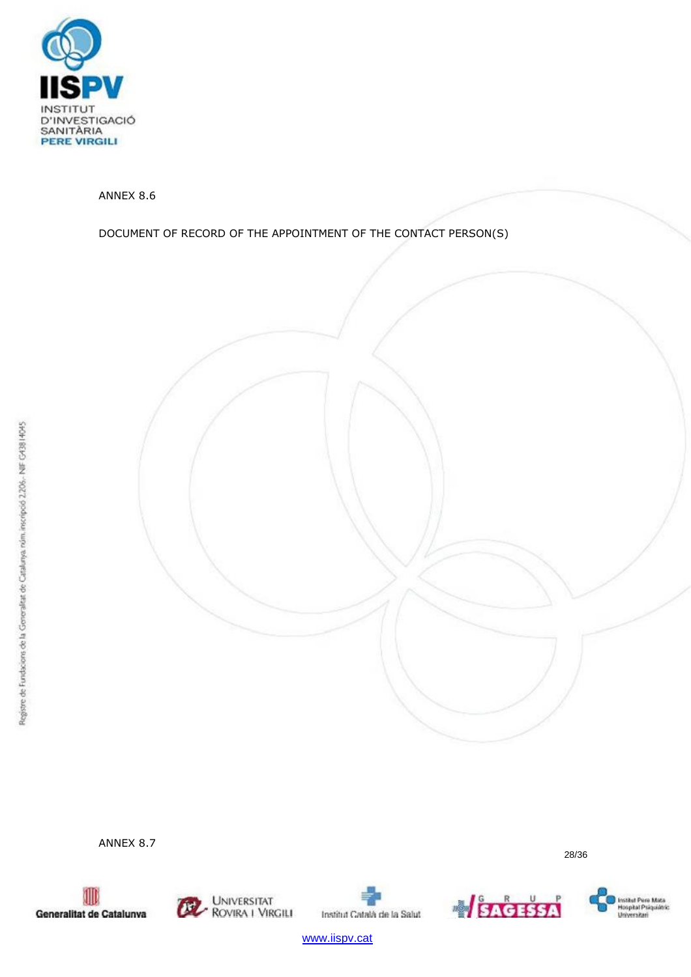

DOCUMENT OF RECORD OF THE APPOINTMENT OF THE CONTACT PERSON(S)



ANNEX 8.7

28/36

**SAGESSA** 







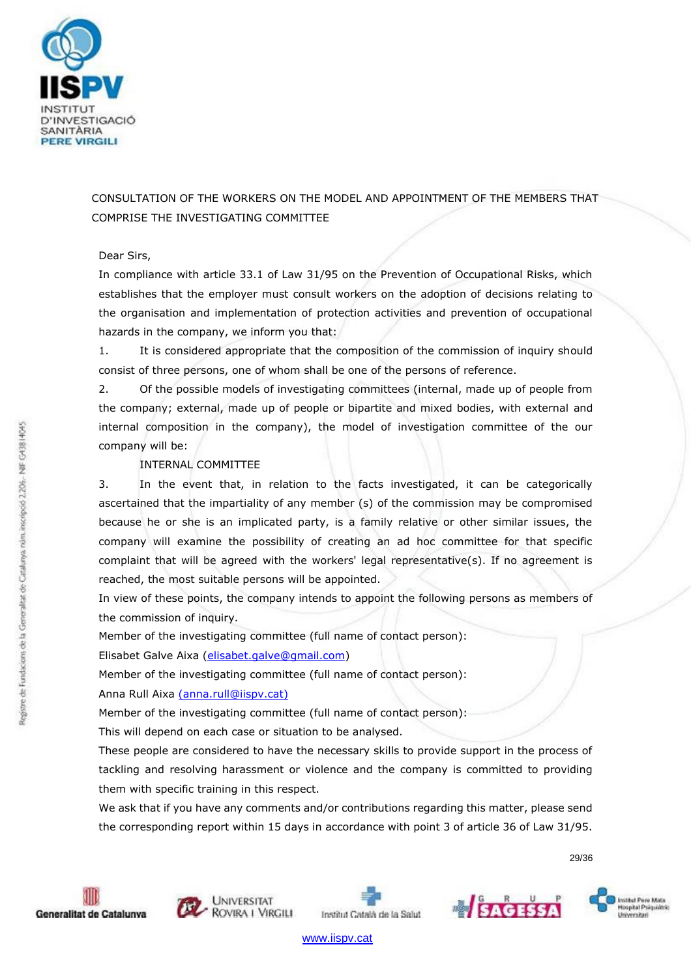

# CONSULTATION OF THE WORKERS ON THE MODEL AND APPOINTMENT OF THE MEMBERS THAT COMPRISE THE INVESTIGATING COMMITTEE

#### Dear Sirs,

In compliance with article 33.1 of Law 31/95 on the Prevention of Occupational Risks, which establishes that the employer must consult workers on the adoption of decisions relating to the organisation and implementation of protection activities and prevention of occupational hazards in the company, we inform you that:

1. It is considered appropriate that the composition of the commission of inquiry should consist of three persons, one of whom shall be one of the persons of reference.

2. Of the possible models of investigating committees (internal, made up of people from the company; external, made up of people or bipartite and mixed bodies, with external and internal composition in the company), the model of investigation committee of the our company will be:

#### INTERNAL COMMITTEE

3. In the event that, in relation to the facts investigated, it can be categorically ascertained that the impartiality of any member (s) of the commission may be compromised because he or she is an implicated party, is a family relative or other similar issues, the company will examine the possibility of creating an ad hoc committee for that specific complaint that will be agreed with the workers' legal representative(s). If no agreement is reached, the most suitable persons will be appointed.

In view of these points, the company intends to appoint the following persons as members of the commission of inquiry.

Member of the investigating committee (full name of contact person):

Elisabet Galve Aixa (elisabet.galve@gmail.com)

Member of the investigating committee (full name of contact person):

Anna Rull Aixa (anna.rull@iispv.cat)

Member of the investigating committee (full name of contact person):

This will depend on each case or situation to be analysed.

These people are considered to have the necessary skills to provide support in the process of tackling and resolving harassment or violence and the company is committed to providing them with specific training in this respect.

We ask that if you have any comments and/or contributions regarding this matter, please send the corresponding report within 15 days in accordance with point 3 of article 36 of Law 31/95.

29/36



Generalitat de Catalunva





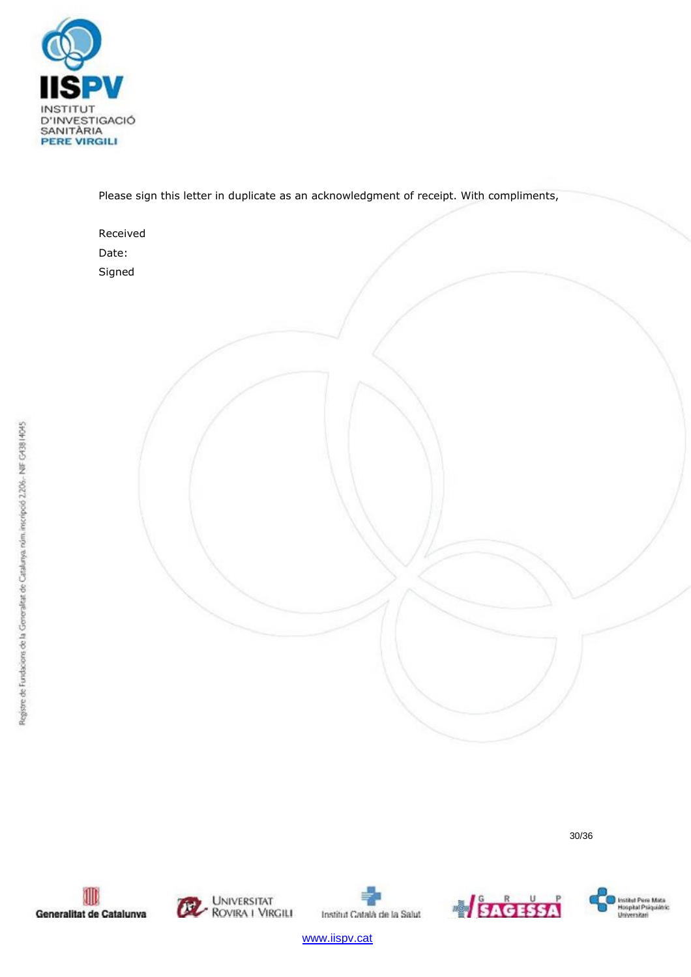

Please sign this letter in duplicate as an acknowledgment of receipt. With compliments,

| Received |
|----------|
| Date:    |
| Signed   |







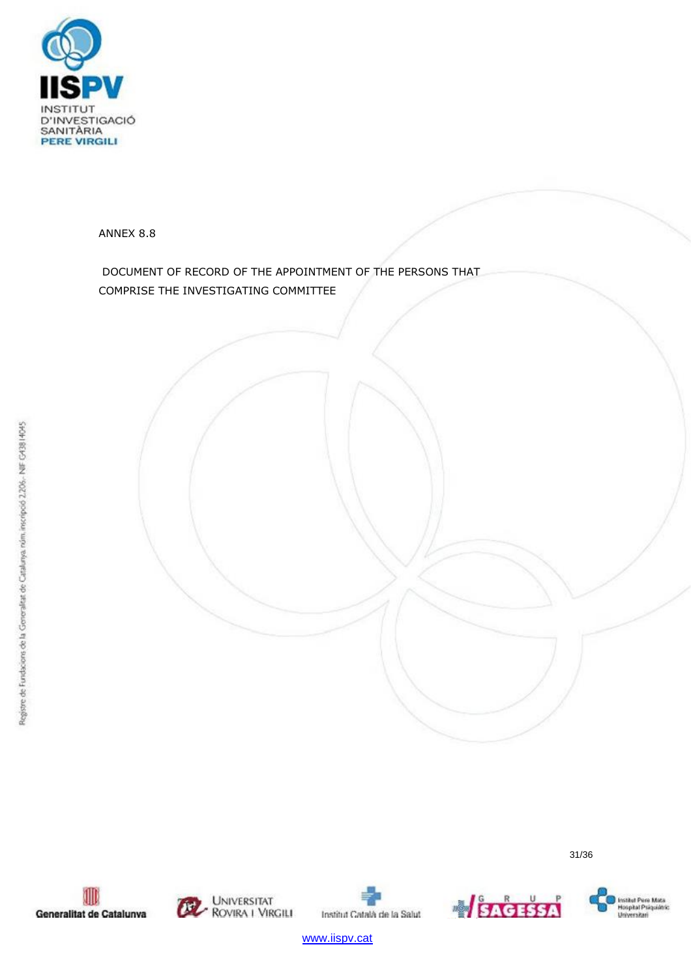

DOCUMENT OF RECORD OF THE APPOINTMENT OF THE PERSONS THAT COMPRISE THE INVESTIGATING COMMITTEE

31/36

**SAGESSA** 



[www.iispv.cat](http://www.iispv.cat/)

Institut Català de la Salut

UNIVERSITAT

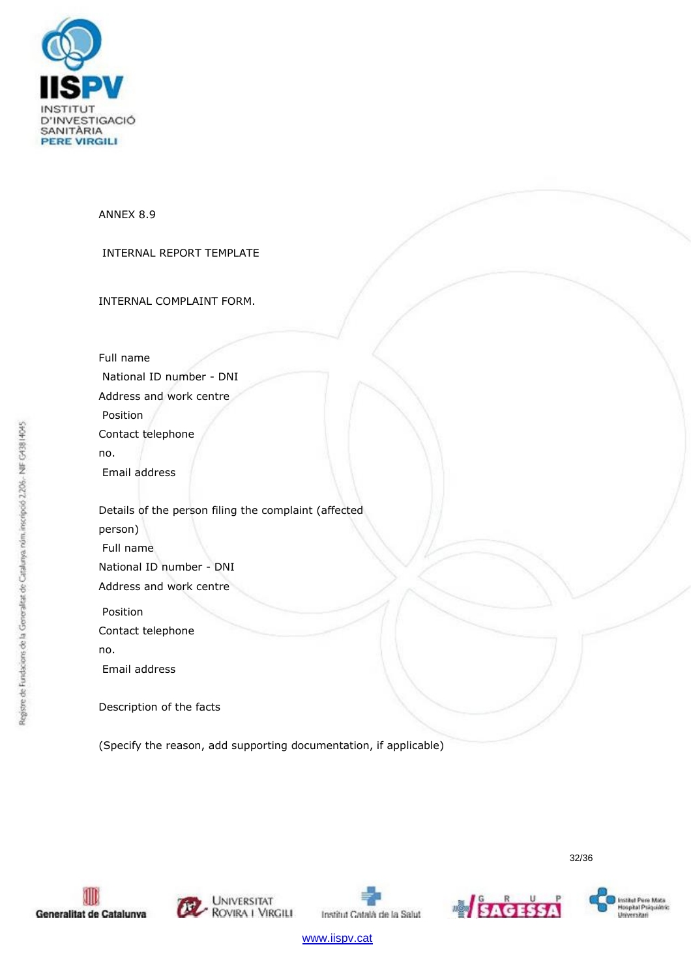

INTERNAL REPORT TEMPLATE

INTERNAL COMPLAINT FORM.

Full name National ID number - DNI Address and work centre Position Contact telephone no. Email address

Details of the person filing the complaint (affected person)

Full name

National ID number - DNI

Address and work centre

Position Contact telephone no. Email address

Description of the facts

(Specify the reason, add supporting documentation, if applicable)









32/36

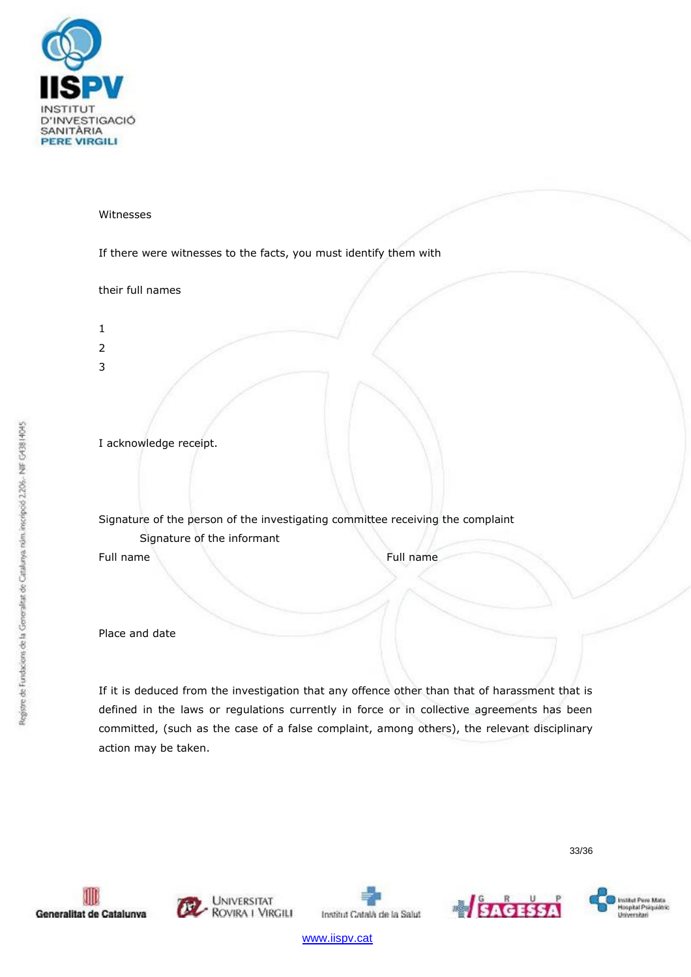

#### Witnesses

#### If there were witnesses to the facts, you must identify them with

#### their full names

1

2

3

I acknowledge receipt.

Signature of the person of the investigating committee receiving the complaint Signature of the informant

Full name Full name Full name

Place and date

If it is deduced from the investigation that any offence other than that of harassment that is defined in the laws or regulations currently in force or in collective agreements has been committed, (such as the case of a false complaint, among others), the relevant disciplinary action may be taken.

33/36

**SAGESS!** 



[www.iispv.cat](http://www.iispv.cat/)

Institut Català de la Salut

**UNIVERSITAT** 

ROVIRA I VIRGILI



Registre de Fundacions de la Generalitat de Catalunya núm, inscripció 2.206,- NIF C43814045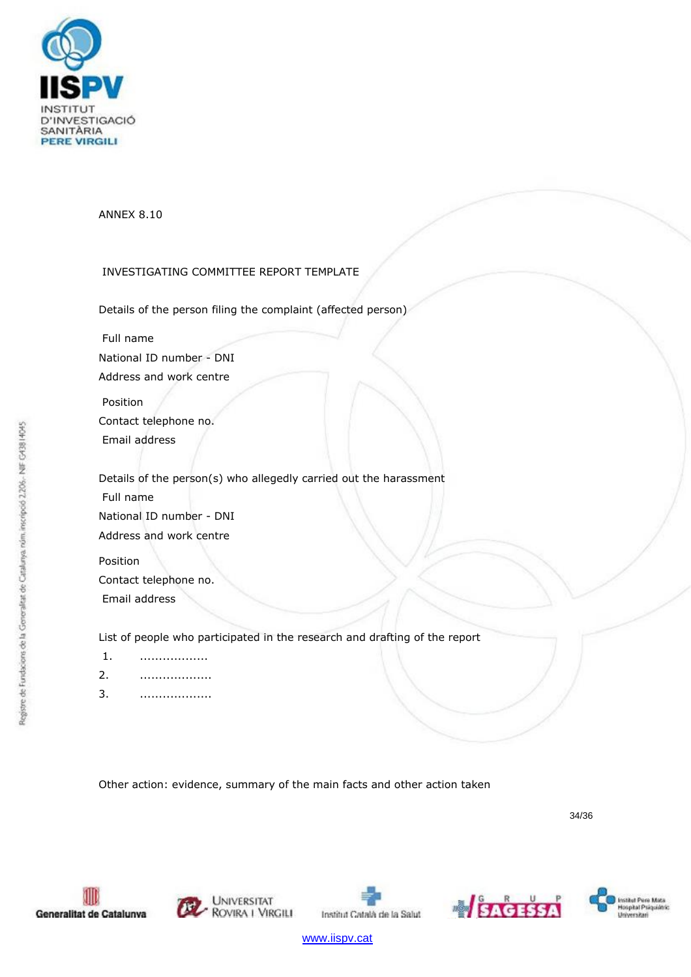

#### INVESTIGATING COMMITTEE REPORT TEMPLATE

Details of the person filing the complaint (affected person)

Full name

National ID number - DNI Address and work centre

Position Contact telephone no. Email address

Details of the person(s) who allegedly carried out the harassment Full name National ID number - DNI Address and work centre Position

Contact telephone no.

Email address

List of people who participated in the research and drafting of the report

1. .................. 2. ...................... 3. .......................

Other action: evidence, summary of the main facts and other action taken

34/36









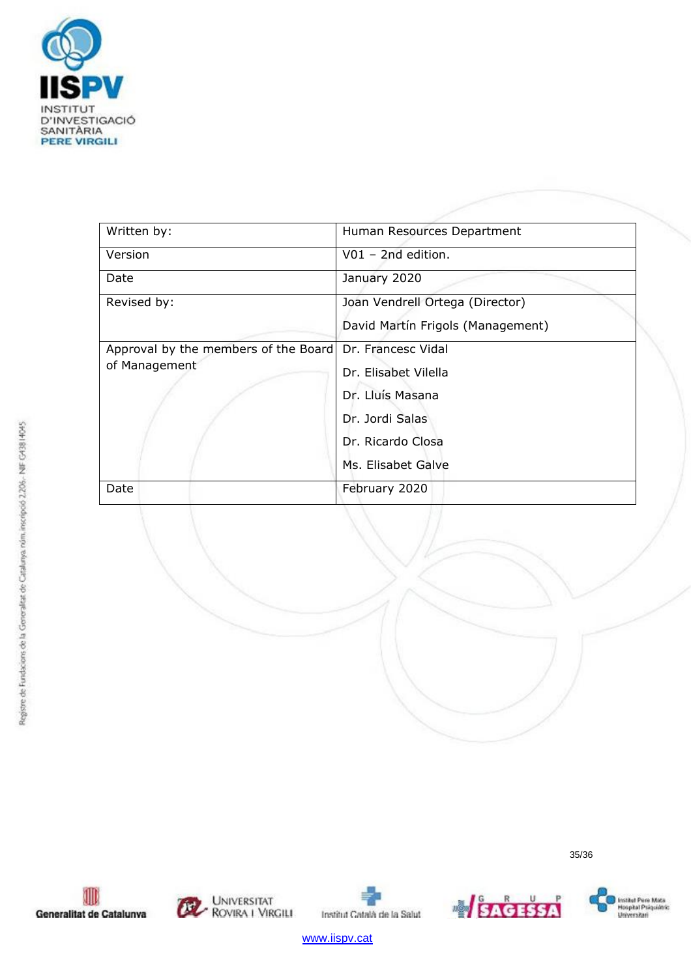

| Written by:                          | Human Resources Department        |  |
|--------------------------------------|-----------------------------------|--|
| Version                              | $V01 - 2nd$ edition.              |  |
| Date                                 | January 2020                      |  |
| Revised by:                          | Joan Vendrell Ortega (Director)   |  |
|                                      | David Martín Frigols (Management) |  |
| Approval by the members of the Board | Dr. Francesc Vidal                |  |
| of Management                        | Dr. Elisabet Vilella              |  |
|                                      | Dr. Lluís Masana                  |  |
|                                      | Dr. Jordi Salas                   |  |
|                                      | Dr. Ricardo Closa                 |  |
|                                      | Ms. Elisabet Galve                |  |
| Date                                 | February 2020                     |  |
|                                      |                                   |  |

35/36



[www.iispv.cat](http://www.iispv.cat/)



UNIVERSITAT